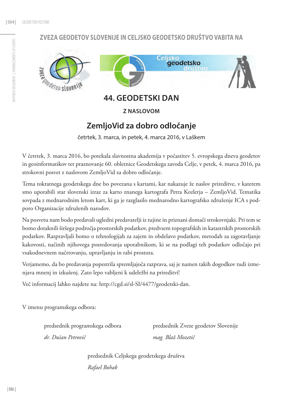### **Zveza geodetov Slovenije in Celjsko geodetsko društvo vabita na**



**44. GEODETSKI DAN**

**z naslovom**

# **ZemljoVid za dobro odločanje**

četrtek, 3. marca, in petek, 4. marca 2016, v Laškem

V četrtek, 3. marca 2016, bo potekala slavnostna akademija v počastitev 5. evropskega dneva geodetov in geoinformatikov ter praznovanje 60. obletnice Geodetskega zavoda Celje, v petek, 4. marca 2016, pa strokovni posvet z naslovom ZemljoVid za dobro odločanje.

Tema tokratnega geodetskega dne bo povezana s kartami, kar nakazuje že naslov prireditve, v katerem smo uporabili star slovenski izraz za karto znanega kartografa Petra Kozlerja – ZemljoVid. Tematika sovpada z mednarodnim letom kart, ki ga je razglasilo mednarodno kartografsko združenje ICA s podporo Organizacije združenih narodov.

Na posvetu nam bodo predavali ugledni predavatelji iz tujine in priznani domači strokovnjaki. Pri tem se bomo dotaknili širšega področja prostorskih podatkov, predvsem topografskih in katastrskih prostorskih podatkov. Razpravljali bomo o tehnologijah za zajem in obdelavo podatkov, metodah za zagotavljanje kakovosti, načinih njihovega posredovanja uporabnikom, ki se na podlagi teh podatkov odločajo pri vsakodnevnem načrtovanju, upravljanju in rabi prostora.

Verjamemo, da bo predavanja popestrila spremljajoča razprava, saj je namen takih dogodkov tudi izmenjava mnenj in izkušenj. Zato lepo vabljeni k udeležbi na prireditvi!

Več informacij lahko najdete na: http://cgd.si/sl-SI/4477/geodetski-dan.

V imenu programskega odbora:

*dr. Dušan Petrovič mag. Blaž Mozetič* 

predsednik programskega odbora predsednik Zveze geodetov Slovenije

predsednik Celjskega geodetskega društva

 *Rafael Bohak*